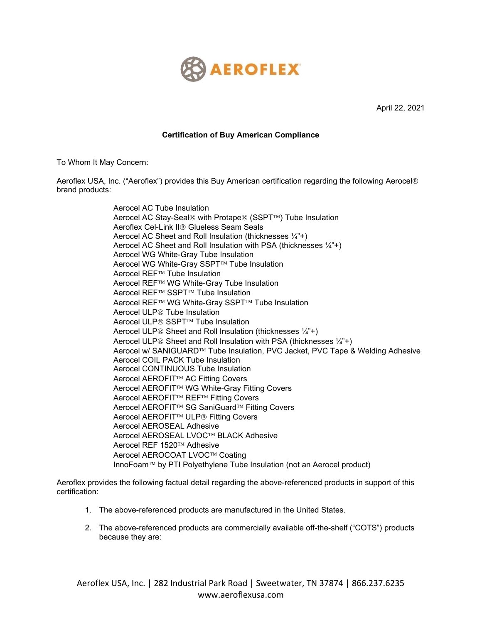

April 22, 2021

## **Certification of Buy American Compliance**

To Whom It May Concern:

Aeroflex USA, Inc. ("Aeroflex") provides this Buy American certification regarding the following Aerocel brand products:

> Aerocel AC Tube Insulation Aerocel AC Stay-Seal® with Protape® (SSPT™) Tube Insulation Aeroflex Cel-Link II® Glueless Seam Seals Aerocel AC Sheet and Roll Insulation (thicknesses ¼"+) Aerocel AC Sheet and Roll Insulation with PSA (thicknesses ¼"+) Aerocel WG White-Gray Tube Insulation Aerocel WG White-Gray SSPT™ Tube Insulation Aerocel REF<sup>™</sup> Tube Insulation Aerocel REF<sup>™</sup> WG White-Gray Tube Insulation Aerocel REF<sup>™</sup> SSPT<sup>™</sup> Tube Insulation Aerocel REF<sup>™</sup> WG White-Gray SSPT™ Tube Insulation Aerocel ULP<sup>®</sup> Tube Insulation Aerocel ULP® SSPT™ Tube Insulation Aerocel ULP $\circledR$  Sheet and Roll Insulation (thicknesses  $\frac{1}{4}$ <sup>\*</sup>+) Aerocel ULP $@$  Sheet and Roll Insulation with PSA (thicknesses  $\frac{1}{4}$ ) Aerocel w/ SANIGUARD™ Tube Insulation, PVC Jacket, PVC Tape & Welding Adhesive Aerocel COIL PACK Tube Insulation Aerocel CONTINUOUS Tube Insulation Aerocel AEROFIT™ AC Fitting Covers Aerocel AEROFIT™ WG White-Gray Fitting Covers Aerocel AEROFIT™ REF<sup>™</sup> Fitting Covers Aerocel AEROFIT™ SG SaniGuard<sup>™</sup> Fitting Covers Aerocel AEROFIT™ ULP<sup>®</sup> Fitting Covers Aerocel AEROSEAL Adhesive Aerocel AEROSEAL LVOC™ BLACK Adhesive Aerocel REF 1520™ Adhesive Aerocel AEROCOAT LVOC™ Coating InnoFoam™ by PTI Polyethylene Tube Insulation (not an Aerocel product)

Aeroflex provides the following factual detail regarding the above-referenced products in support of this certification:

- 1. The above-referenced products are manufactured in the United States.
- 2. The above-referenced products are commercially available off-the-shelf ("COTS") products because they are: